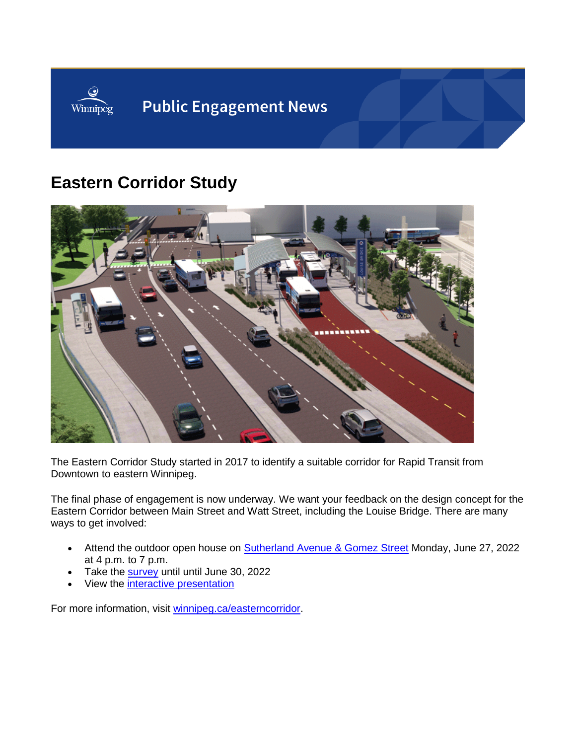

## **Eastern Corridor Study**



The Eastern Corridor Study started in 2017 to identify a suitable corridor for Rapid Transit from Downtown to eastern Winnipeg.

The final phase of engagement is now underway. We want your feedback on the design concept for the Eastern Corridor between Main Street and Watt Street, including the Louise Bridge. There are many ways to get involved:

- Attend the outdoor open house on **Sutherland Avenue & Gomez Street** Monday, June 27, 2022 at 4 p.m. to 7 p.m.
- Take the **[survey](https://www.surveymonkey.com/r/RRCLXWK)** until until June 30, 2022
- View the [interactive presentation](https://view.genial.ly/618bde4bd4a4e00d9b9b0071)

For more information, visit [winnipeg.ca/easterncorridor.](https://engage.winnipeg.ca/eastern-corridor-study)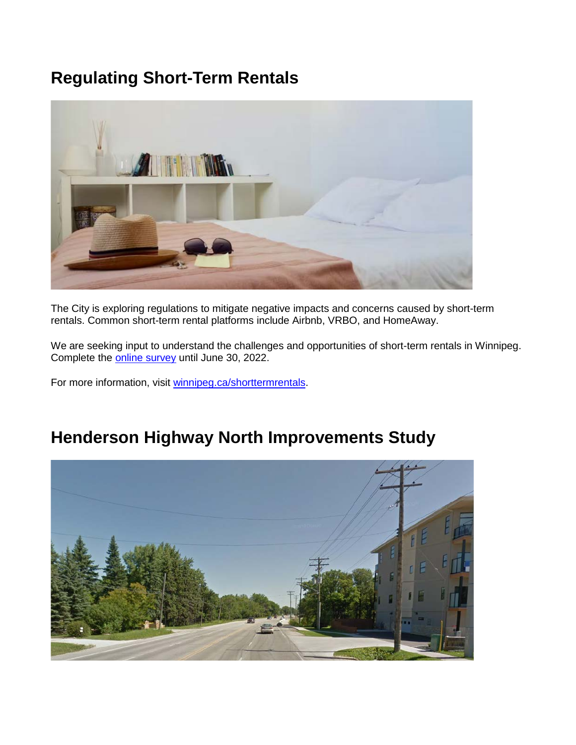## **Regulating Short-Term Rentals**



The City is exploring regulations to mitigate negative impacts and concerns caused by short-term rentals. Common short-term rental platforms include Airbnb, VRBO, and HomeAway.

We are seeking input to understand the challenges and opportunities of short-term rentals in Winnipeg. Complete the [online survey](https://engage.winnipeg.ca/short-term-rentals/survey_tools/survey?utm_source=ehq_newsletter&utm_medium=email&utm_campaign=ehq-Engagement-news--Urban-Forest-Strategy-Neighbourhood-Greenway-Reduced-Speed-Pilot--Henderson-Highway-North-Improvements-Study-and-Regulating-ShortTerm-Rentals) until June 30, 2022.

For more information, visit [winnipeg.ca/shorttermrentals.](https://engage.winnipeg.ca/short-term-rentals?utm_source=ehq_newsletter&utm_medium=email&utm_campaign=ehq-Engagement-news--Urban-Forest-Strategy-Neighbourhood-Greenway-Reduced-Speed-Pilot--Henderson-Highway-North-Improvements-Study-and-Regulating-ShortTerm-Rentals)

## **Henderson Highway North Improvements Study**

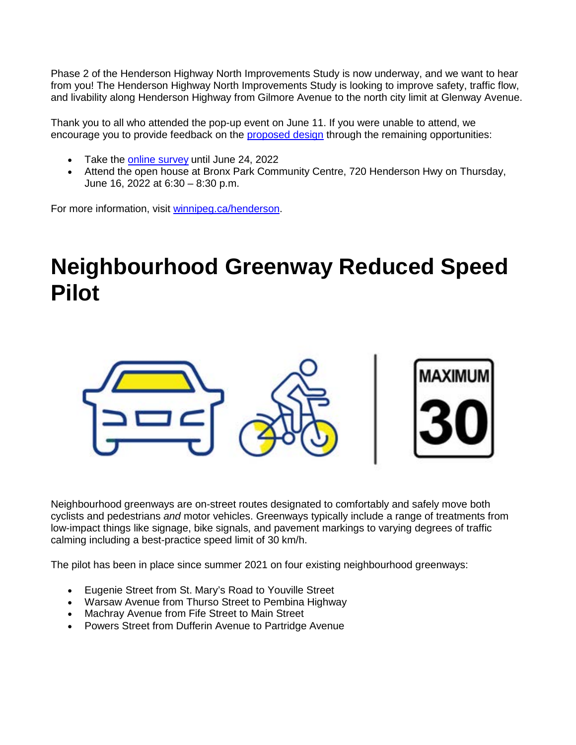Phase 2 of the Henderson Highway North Improvements Study is now underway, and we want to hear from you! The Henderson Highway North Improvements Study is looking to improve safety, traffic flow, and livability along Henderson Highway from Gilmore Avenue to the north city limit at Glenway Avenue.

Thank you to all who attended the pop-up event on June 11. If you were unable to attend, we encourage you to provide feedback on the [proposed design](https://engage.winnipeg.ca/24366/widgets/104343/documents/81829) through the remaining opportunities:

- Take the [online survey](https://www.surveymonkey.com/r/hendersonphase2?utm_source=ehq_newsletter&utm_medium=email&utm_campaign=ehq-Engagement-news--Urban-Forest-Strategy-Neighbourhood-Greenway-Reduced-Speed-Pilot--Henderson-Highway-North-Improvements-Study-and-Regulating-ShortTerm-Rentals) until June 24, 2022
- Attend the open house at Bronx Park Community Centre, 720 Henderson Hwy on Thursday, June 16, 2022 at 6:30 – 8:30 p.m.

For more information, visit [winnipeg.ca/henderson.](https://engage.winnipeg.ca/henderson-highway-north-study?utm_source=ehq_newsletter&utm_medium=email&utm_campaign=ehq-Engagement-news--Urban-Forest-Strategy-Neighbourhood-Greenway-Reduced-Speed-Pilot--Henderson-Highway-North-Improvements-Study-and-Regulating-ShortTerm-Rentals)

# **Neighbourhood Greenway Reduced Speed Pilot**



Neighbourhood greenways are on-street routes designated to comfortably and safely move both cyclists and pedestrians *and* motor vehicles. Greenways typically include a range of treatments from low-impact things like signage, bike signals, and pavement markings to varying degrees of traffic calming including a best-practice speed limit of 30 km/h.

The pilot has been in place since summer 2021 on four existing neighbourhood greenways:

- Eugenie Street from St. Mary's Road to Youville Street
- Warsaw Avenue from Thurso Street to Pembina Highway
- Machray Avenue from Fife Street to Main Street
- Powers Street from Dufferin Avenue to Partridge Avenue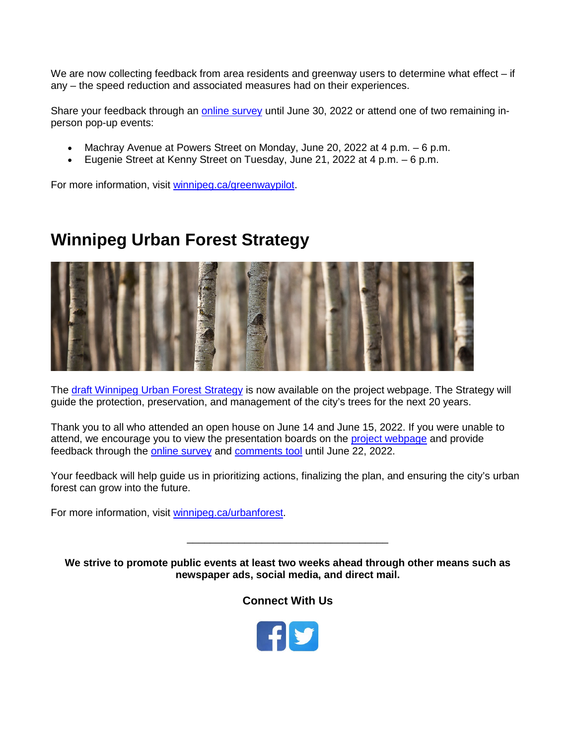We are now collecting feedback from area residents and greenway users to determine what effect – if any – the speed reduction and associated measures had on their experiences.

Share your feedback through an [online survey](https://winnipeg.surveymonkey.com/r/2W55N2F?utm_source=ehq_newsletter&utm_medium=email&utm_campaign=ehq-Engagement-news--Urban-Forest-Strategy-Neighbourhood-Greenway-Reduced-Speed-Pilot--Henderson-Highway-North-Improvements-Study-and-Regulating-ShortTerm-Rentals) until June 30, 2022 or attend one of two remaining inperson pop-up events:

- Machray Avenue at Powers Street on Monday, June 20, 2022 at 4 p.m. 6 p.m.
- Eugenie Street at Kenny Street on Tuesday, June 21, 2022 at 4 p.m. 6 p.m.

For more information, visit [winnipeg.ca/greenwaypilot.](https://engage.winnipeg.ca/neighbourhood-greenway-reduced-speed-pilot?utm_source=ehq_newsletter&utm_medium=email&utm_campaign=ehq-Engagement-news--Urban-Forest-Strategy-Neighbourhood-Greenway-Reduced-Speed-Pilot--Henderson-Highway-North-Improvements-Study-and-Regulating-ShortTerm-Rentals)

## **Winnipeg Urban Forest Strategy**



The [draft Winnipeg Urban Forest Strategy](https://engage.winnipeg.ca/10550/widgets/67282/documents/81564?utm_source=ehq_newsletter&utm_medium=email&utm_campaign=ehq-Engagement-news--Urban-Forest-Strategy-Neighbourhood-Greenway-Reduced-Speed-Pilot--Henderson-Highway-North-Improvements-Study-and-Regulating-ShortTerm-Rentals) is now available on the project webpage. The Strategy will guide the protection, preservation, and management of the city's trees for the next 20 years.

Thank you to all who attended an open house on June 14 and June 15, 2022. If you were unable to attend, we encourage you to view the presentation boards on the [project webpage](https://engage.winnipeg.ca/urbanforest) and provide feedback through the [online survey](https://engage.winnipeg.ca/urbanforest/survey_tools/help-your-city-grow?utm_source=ehq_newsletter&utm_medium=email&utm_campaign=ehq-Engagement-news--Urban-Forest-Strategy-Neighbourhood-Greenway-Reduced-Speed-Pilot--Henderson-Highway-North-Improvements-Study-and-Regulating-ShortTerm-Rentals) and [comments tool](https://engage.winnipeg.ca/urbanforest?utm_source=ehq_newsletter&utm_medium=email&utm_campaign=ehq-Engagement-news--Urban-Forest-Strategy-Neighbourhood-Greenway-Reduced-Speed-Pilot--Henderson-Highway-North-Improvements-Study-and-Regulating-ShortTerm-Rentals&tool=guest_book#tool_tab) until June 22, 2022.

Your feedback will help guide us in prioritizing actions, finalizing the plan, and ensuring the city's urban forest can grow into the future.

For more information, visit [winnipeg.ca/urbanforest.](https://engage.winnipeg.ca/urbanforest)

**We strive to promote public events at least two weeks ahead through other means such as newspaper ads, social media, and direct mail.**

\_\_\_\_\_\_\_\_\_\_\_\_\_\_\_\_\_\_\_\_\_\_\_\_\_\_\_\_\_\_\_\_\_\_\_

**Connect With Us**